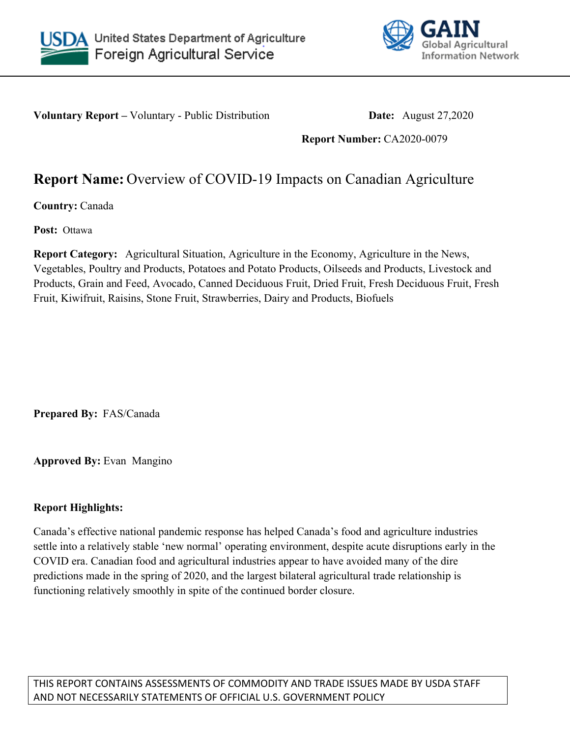



**Voluntary Report –** Voluntary - Public Distribution **Date:** August 27,2020

**Report Number:** CA2020-0079

# **Report Name:** Overview of COVID-19 Impacts on Canadian Agriculture

**Country:** Canada

**Post:** Ottawa

**Report Category:** Agricultural Situation, Agriculture in the Economy, Agriculture in the News, Vegetables, Poultry and Products, Potatoes and Potato Products, Oilseeds and Products, Livestock and Products, Grain and Feed, Avocado, Canned Deciduous Fruit, Dried Fruit, Fresh Deciduous Fruit, Fresh Fruit, Kiwifruit, Raisins, Stone Fruit, Strawberries, Dairy and Products, Biofuels

**Prepared By:** FAS/Canada

**Approved By:** Evan Mangino

# **Report Highlights:**

Canada's effective national pandemic response has helped Canada's food and agriculture industries settle into a relatively stable 'new normal' operating environment, despite acute disruptions early in the COVID era. Canadian food and agricultural industries appear to have avoided many of the dire predictions made in the spring of 2020, and the largest bilateral agricultural trade relationship is functioning relatively smoothly in spite of the continued border closure.

THIS REPORT CONTAINS ASSESSMENTS OF COMMODITY AND TRADE ISSUES MADE BY USDA STAFF AND NOT NECESSARILY STATEMENTS OF OFFICIAL U.S. GOVERNMENT POLICY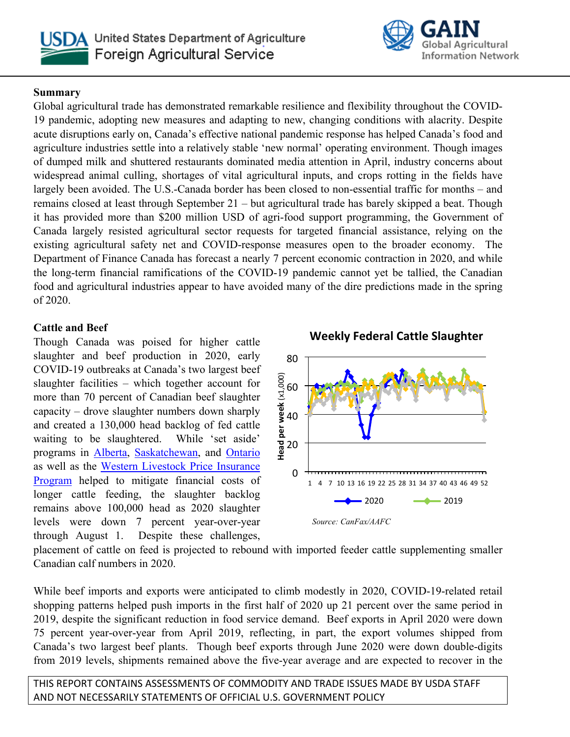



# **Summary**

Global agricultural trade has demonstrated remarkable resilience and flexibility throughout the COVID-19 pandemic, adopting new measures and adapting to new, changing conditions with alacrity. Despite acute disruptions early on, Canada's effective national pandemic response has helped Canada's food and agriculture industries settle into a relatively stable 'new normal' operating environment. Though images of dumped milk and shuttered restaurants dominated media attention in April, industry concerns about widespread animal culling, shortages of vital agricultural inputs, and crops rotting in the fields have largely been avoided. The U.S.-Canada border has been closed to non-essential traffic for months – and remains closed at least through September 21 – but agricultural trade has barely skipped a beat. Though it has provided more than \$200 million USD of agri-food support programming, the Government of Canada largely resisted agricultural sector requests for targeted financial assistance, relying on the existing agricultural safety net and COVID-response measures open to the broader economy. The Department of Finance Canada has forecast a nearly 7 percent economic contraction in 2020, and while the long-term financial ramifications of the COVID-19 pandemic cannot yet be tallied, the Canadian food and agricultural industries appear to have avoided many of the dire predictions made in the spring of 2020.

# **Cattle and Beef**

Though Canada was poised for higher cattle slaughter and beef production in 2020, early COVID-19 outbreaks at Canada's two largest beef slaughter facilities – which together account for more than 70 percent of Canadian beef slaughter capacity – drove slaughter numbers down sharply and created a 130,000 head backlog of fed cattle waiting to be slaughtered. While 'set aside' programs in [Alberta,](https://afsc.ca/income-stabilization/agrirecovery/) [Saskatchewan,](https://www.scic.ca/livestock-set-aside-program/#:~:text=About%20The%20Program&text=On%20May%205,%202020,%20the,the%20Livestock%20Set%20Aside%20Program.) and [Ontario](https://news.ontario.ca/omafra/en/2020/06/canada-and-ontario-support-beef-and-hog-farmers-during-covid-19.html#:~:text=The%20beef%20cattle%20set-aside,for%20extended%20periods%20of%20time.)  as well as the [Western Livestock Price Insurance](Alberta,%2520Saskatchewan,%2520and%2520Ontario)  [Program](Alberta,%2520Saskatchewan,%2520and%2520Ontario) helped to mitigate financial costs of longer cattle feeding, the slaughter backlog remains above 100,000 head as 2020 slaughter levels were down 7 percent year-over-year through August 1. Despite these challenges,

 **Weekly Federal Cattle Slaughter**



placement of cattle on feed is projected to rebound with imported feeder cattle supplementing smaller Canadian calf numbers in 2020.

While beef imports and exports were anticipated to climb modestly in 2020, COVID-19-related retail shopping patterns helped push imports in the first half of 2020 up 21 percent over the same period in 2019, despite the significant reduction in food service demand. Beef exports in April 2020 were down 75 percent year-over-year from April 2019, reflecting, in part, the export volumes shipped from Canada's two largest beef plants. Though beef exports through June 2020 were down double-digits from 2019 levels, shipments remained above the five-year average and are expected to recover in the

THIS REPORT CONTAINS ASSESSMENTS OF COMMODITY AND TRADE ISSUES MADE BY USDA STAFF AND NOT NECESSARILY STATEMENTS OF OFFICIAL U.S. GOVERNMENT POLICY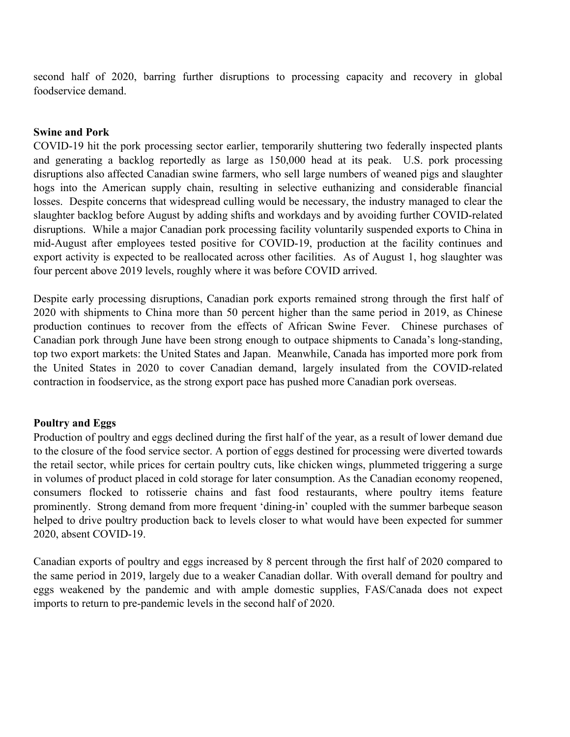second half of 2020, barring further disruptions to processing capacity and recovery in global foodservice demand.

#### **Swine and Pork**

COVID-19 hit the pork processing sector earlier, temporarily shuttering two federally inspected plants and generating a backlog reportedly as large as 150,000 head at its peak. U.S. pork processing disruptions also affected Canadian swine farmers, who sell large numbers of weaned pigs and slaughter hogs into the American supply chain, resulting in selective euthanizing and considerable financial losses. Despite concerns that widespread culling would be necessary, the industry managed to clear the slaughter backlog before August by adding shifts and workdays and by avoiding further COVID-related disruptions. While a major Canadian pork processing facility voluntarily suspended exports to China in mid-August after employees tested positive for COVID-19, production at the facility continues and export activity is expected to be reallocated across other facilities. As of August 1, hog slaughter was four percent above 2019 levels, roughly where it was before COVID arrived.

Despite early processing disruptions, Canadian pork exports remained strong through the first half of 2020 with shipments to China more than 50 percent higher than the same period in 2019, as Chinese production continues to recover from the effects of African Swine Fever. Chinese purchases of Canadian pork through June have been strong enough to outpace shipments to Canada's long-standing, top two export markets: the United States and Japan. Meanwhile, Canada has imported more pork from the United States in 2020 to cover Canadian demand, largely insulated from the COVID-related contraction in foodservice, as the strong export pace has pushed more Canadian pork overseas.

#### **Poultry and Eggs**

Production of poultry and eggs declined during the first half of the year, as a result of lower demand due to the closure of the food service sector. A portion of eggs destined for processing were diverted towards the retail sector, while prices for certain poultry cuts, like chicken wings, plummeted triggering a surge in volumes of product placed in cold storage for later consumption. As the Canadian economy reopened, consumers flocked to rotisserie chains and fast food restaurants, where poultry items feature prominently. Strong demand from more frequent 'dining-in' coupled with the summer barbeque season helped to drive poultry production back to levels closer to what would have been expected for summer 2020, absent COVID-19.

Canadian exports of poultry and eggs increased by 8 percent through the first half of 2020 compared to the same period in 2019, largely due to a weaker Canadian dollar. With overall demand for poultry and eggs weakened by the pandemic and with ample domestic supplies, FAS/Canada does not expect imports to return to pre-pandemic levels in the second half of 2020.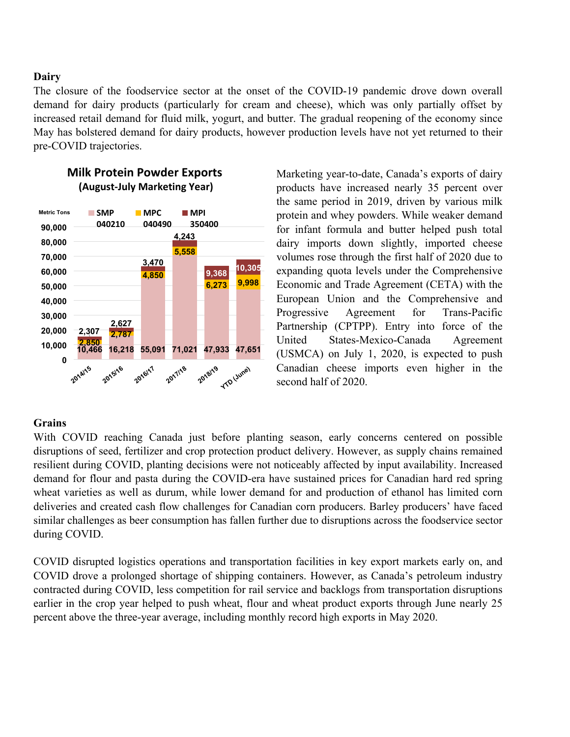# **Dairy**

The closure of the foodservice sector at the onset of the COVID-19 pandemic drove down overall demand for dairy products (particularly for cream and cheese), which was only partially offset by increased retail demand for fluid milk, yogurt, and butter. The gradual reopening of the economy since May has bolstered demand for dairy products, however production levels have not yet returned to their pre-COVID trajectories.



# **Milk Protein Powder Exports (August-July Marketing Year)**

Marketing year-to-date, Canada's exports of dairy products have increased nearly 35 percent over the same period in 2019, driven by various milk protein and whey powders. While weaker demand for infant formula and butter helped push total dairy imports down slightly, imported cheese volumes rose through the first half of 2020 due to expanding quota levels under the Comprehensive Economic and Trade Agreement (CETA) with the European Union and the Comprehensive and Progressive Agreement for Trans-Pacific Partnership (CPTPP). Entry into force of the United States-Mexico-Canada Agreement (USMCA) on July 1, 2020, is expected to push Canadian cheese imports even higher in the second half of 2020.

# **Grains**

With COVID reaching Canada just before planting season, early concerns centered on possible disruptions of seed, fertilizer and crop protection product delivery. However, as supply chains remained resilient during COVID, planting decisions were not noticeably affected by input availability. Increased demand for flour and pasta during the COVID-era have sustained prices for Canadian hard red spring wheat varieties as well as durum, while lower demand for and production of ethanol has limited corn deliveries and created cash flow challenges for Canadian corn producers. Barley producers' have faced similar challenges as beer consumption has fallen further due to disruptions across the foodservice sector during COVID.

COVID disrupted logistics operations and transportation facilities in key export markets early on, and COVID drove a prolonged shortage of shipping containers. However, as Canada's petroleum industry contracted during COVID, less competition for rail service and backlogs from transportation disruptions earlier in the crop year helped to push wheat, flour and wheat product exports through June nearly 25 percent above the three-year average, including monthly record high exports in May 2020.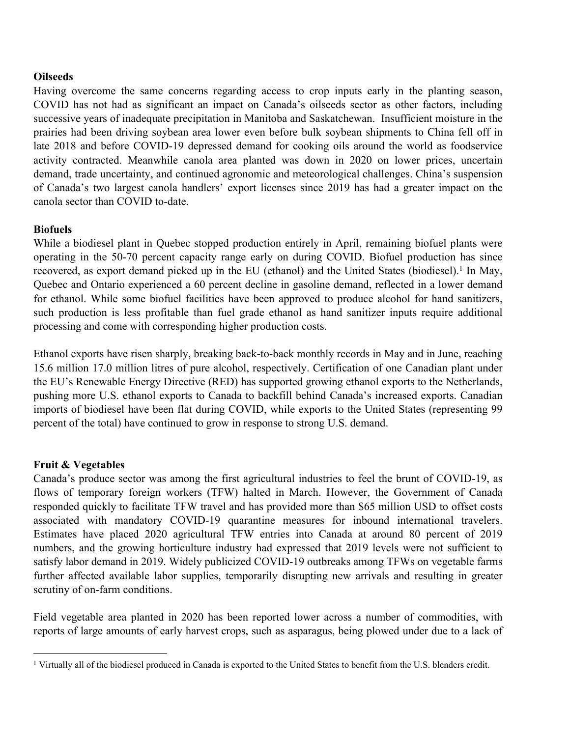#### **Oilseeds**

Having overcome the same concerns regarding access to crop inputs early in the planting season, COVID has not had as significant an impact on Canada's oilseeds sector as other factors, including successive years of inadequate precipitation in Manitoba and Saskatchewan. Insufficient moisture in the prairies had been driving soybean area lower even before bulk soybean shipments to China fell off in late 2018 and before COVID-19 depressed demand for cooking oils around the world as foodservice activity contracted. Meanwhile canola area planted was down in 2020 on lower prices, uncertain demand, trade uncertainty, and continued agronomic and meteorological challenges. China's suspension of Canada's two largest canola handlers' export licenses since 2019 has had a greater impact on the canola sector than COVID to-date.

#### **Biofuels**

While a biodiesel plant in Quebec stopped production entirely in April, remaining biofuel plants were operating in the 50-70 percent capacity range early on during COVID. Biofuel production has since recovered, as export demand picked up in the EU (ethanol) and the United States (biodiesel).<sup>1</sup> In May, Quebec and Ontario experienced a 60 percent decline in gasoline demand, reflected in a lower demand for ethanol. While some biofuel facilities have been approved to produce alcohol for hand sanitizers, such production is less profitable than fuel grade ethanol as hand sanitizer inputs require additional processing and come with corresponding higher production costs.

Ethanol exports have risen sharply, breaking back-to-back monthly records in May and in June, reaching 15.6 million 17.0 million litres of pure alcohol, respectively. Certification of one Canadian plant under the EU's Renewable Energy Directive (RED) has supported growing ethanol exports to the Netherlands, pushing more U.S. ethanol exports to Canada to backfill behind Canada's increased exports. Canadian imports of biodiesel have been flat during COVID, while exports to the United States (representing 99 percent of the total) have continued to grow in response to strong U.S. demand.

# **Fruit & Vegetables**

Canada's produce sector was among the first agricultural industries to feel the brunt of COVID-19, as flows of temporary foreign workers (TFW) halted in March. However, the Government of Canada responded quickly to facilitate TFW travel and has provided more than \$65 million USD to offset costs associated with mandatory COVID-19 quarantine measures for inbound international travelers. Estimates have placed 2020 agricultural TFW entries into Canada at around 80 percent of 2019 numbers, and the growing horticulture industry had expressed that 2019 levels were not sufficient to satisfy labor demand in 2019. Widely publicized COVID-19 outbreaks among TFWs on vegetable farms further affected available labor supplies, temporarily disrupting new arrivals and resulting in greater scrutiny of on-farm conditions.

Field vegetable area planted in 2020 has been reported lower across a number of commodities, with reports of large amounts of early harvest crops, such as asparagus, being plowed under due to a lack of

<sup>1</sup> Virtually all of the biodiesel produced in Canada is exported to the United States to benefit from the U.S. blenders credit.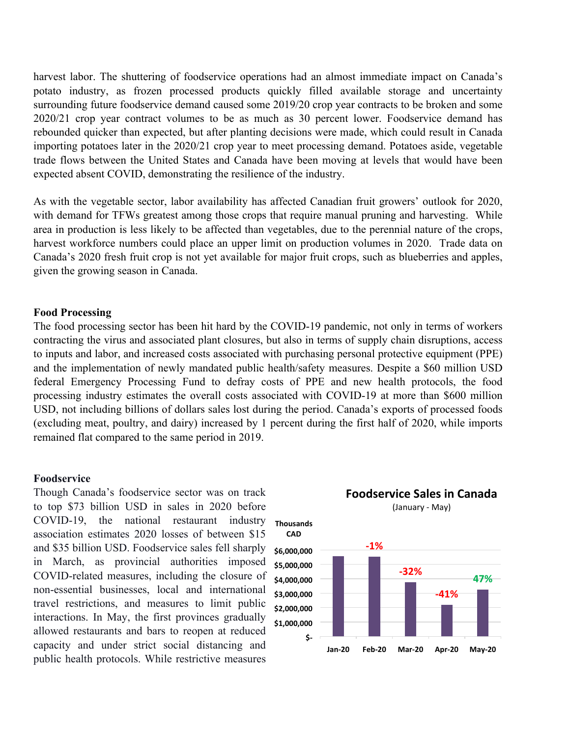harvest labor. The shuttering of foodservice operations had an almost immediate impact on Canada's potato industry, as frozen processed products quickly filled available storage and uncertainty surrounding future foodservice demand caused some 2019/20 crop year contracts to be broken and some 2020/21 crop year contract volumes to be as much as 30 percent lower. Foodservice demand has rebounded quicker than expected, but after planting decisions were made, which could result in Canada importing potatoes later in the 2020/21 crop year to meet processing demand. Potatoes aside, vegetable trade flows between the United States and Canada have been moving at levels that would have been expected absent COVID, demonstrating the resilience of the industry.

As with the vegetable sector, labor availability has affected Canadian fruit growers' outlook for 2020, with demand for TFWs greatest among those crops that require manual pruning and harvesting. While area in production is less likely to be affected than vegetables, due to the perennial nature of the crops, harvest workforce numbers could place an upper limit on production volumes in 2020. Trade data on Canada's 2020 fresh fruit crop is not yet available for major fruit crops, such as blueberries and apples, given the growing season in Canada.

#### **Food Processing**

The food processing sector has been hit hard by the COVID-19 pandemic, not only in terms of workers contracting the virus and associated plant closures, but also in terms of supply chain disruptions, access to inputs and labor, and increased costs associated with purchasing personal protective equipment (PPE) and the implementation of newly mandated public health/safety measures. Despite a \$60 million USD federal Emergency Processing Fund to defray costs of PPE and new health protocols, the food processing industry estimates the overall costs associated with COVID-19 at more than \$600 million USD, not including billions of dollars sales lost during the period. Canada's exports of processed foods (excluding meat, poultry, and dairy) increased by 1 percent during the first half of 2020, while imports remained flat compared to the same period in 2019.

#### **Foodservice**

Though Canada's foodservice sector was on track to top \$73 billion USD in sales in 2020 before COVID-19, the national restaurant industry association estimates 2020 losses of between \$15 and \$35 billion USD. Foodservice sales fell sharply in March, as provincial authorities imposed COVID-related measures, including the closure of non-essential businesses, local and international travel restrictions, and measures to limit public interactions. In May, the first provinces gradually allowed restaurants and bars to reopen at reduced capacity and under strict social distancing and public health protocols. While restrictive measures